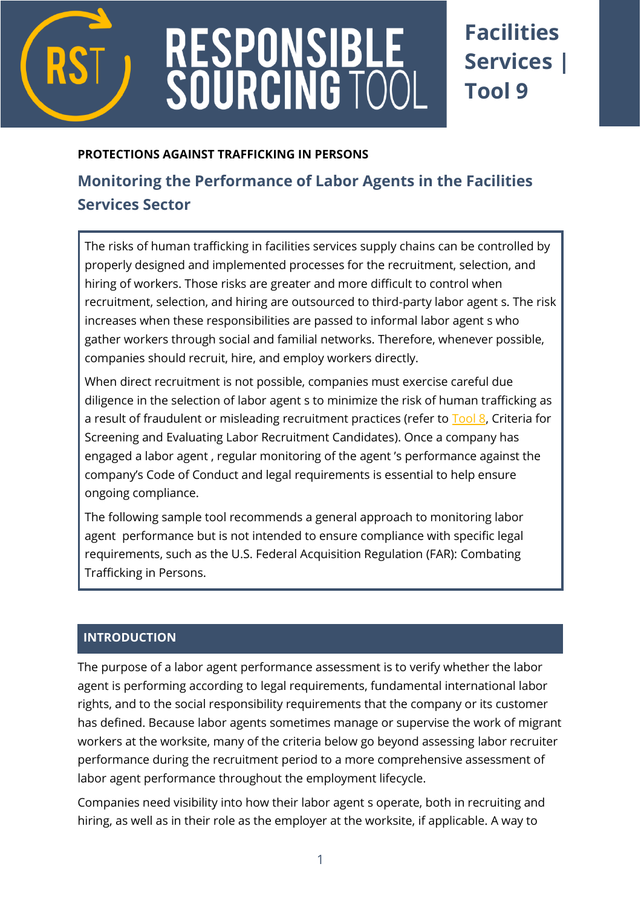

# RESPONSIBL<br>SOURCING TO

## **Facilities Services | Tool 9**

#### **PROTECTIONS AGAINST TRAFFICKING IN PERSONS**

### **[Monitoring](http://www.verite.org/node/723/lightbox2) the Performance of Labor Agents in the Facilities Services Sector**

The risks of human trafficking in facilities services supply chains can be controlled by properly designed and implemented processes for the recruitment, selection, and hiring of workers. Those risks are greater and more difficult to control when recruitment, selection, and hiring are outsourced to third-party labor agent s. The risk increases when these responsibilities are passed to informal labor agent s who gather workers through social and familial networks. Therefore, whenever possible, companies should recruit, hire, and employ workers directly.

When direct recruitment is not possible, companies must exercise careful due diligence in the selection of labor agent s to minimize the risk of human trafficking as a result of fraudulent or misleading recruitment practices (refer to [Tool 8,](https://www.responsiblesourcingtool.org/uploads/45/RST-Food-and-Bev-Tool-05-Criteria-for-Screening.pdf) [Criteria for](http://www.verite.org/node/723/lightbox2)  [Screening and Evaluating Labor Recruitment Candidates\)](http://www.verite.org/node/723/lightbox2). Once a company has engaged a labor agent , regular monitoring of the agent 's performance against the company's Code of Conduct and legal requirements is essential to help ensure ongoing compliance.

The following sample tool recommends a general approach to monitoring labor agent performance but is not intended to ensure compliance with specific legal requirements, such as the U.S. Federal Acquisition Regulation (FAR): Combating Trafficking in Persons.

#### **INTRODUCTION**

The purpose of a labor agent performance assessment is to verify whether the labor agent is performing according to legal requirements, fundamental international labor rights, and to the social responsibility requirements that the company or its customer has defined. Because labor agents sometimes manage or supervise the work of migrant workers at the worksite, many of the criteria below go beyond assessing labor recruiter performance during the recruitment period to a more comprehensive assessment of labor agent performance throughout the employment lifecycle.

Companies need visibility into how their labor agent s operate, both in recruiting and hiring, as well as in their role as the employer at the worksite, if applicable. A way to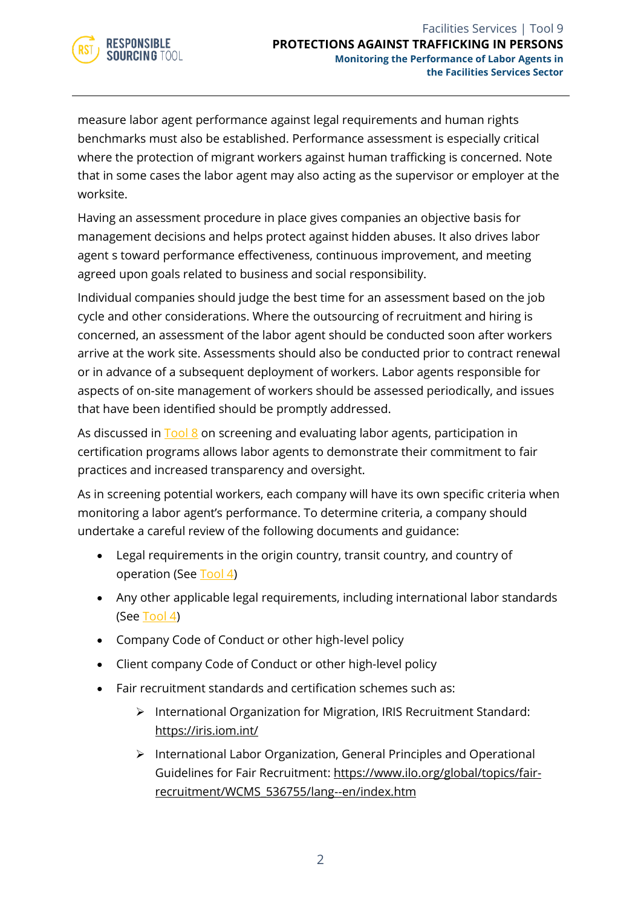

measure labor agent performance against legal requirements and human rights benchmarks must also be established. Performance assessment is especially critical where the protection of migrant workers against human trafficking is concerned. Note that in some cases the labor agent may also acting as the supervisor or employer at the worksite.

Having an assessment procedure in place gives companies an objective basis for management decisions and helps protect against hidden abuses. It also drives labor agent s toward performance effectiveness, continuous improvement, and meeting agreed upon goals related to business and social responsibility.

Individual companies should judge the best time for an assessment based on the job cycle and other considerations. Where the outsourcing of recruitment and hiring is concerned, an assessment of the labor agent should be conducted soon after workers arrive at the work site. Assessments should also be conducted prior to contract renewal or in advance of a subsequent deployment of workers. Labor agents responsible for aspects of on-site management of workers should be assessed periodically, and issues that have been identified should be promptly addressed.

As discussed in **Tool 8** on screening and evaluating labor agents, participation in certification programs allows labor agents to demonstrate their commitment to fair practices and increased transparency and oversight.

As in screening potential workers, each company will have its own specific criteria when monitoring a labor agent's performance. To determine criteria, a company should undertake a careful review of the following documents and guidance:

- Legal requirements in the origin country, transit country, and country of operation (See [Tool 4\)](https://www.responsiblesourcingtool.org/uploads/39/RST-Food-and-Bev-Tool-01B-Country-Level-Legal-Review-Outline.pdf)
- Any other applicable legal requirements, including international labor standards (See [Tool 4\)](https://www.responsiblesourcingtool.org/uploads/39/RST-Food-and-Bev-Tool-01B-Country-Level-Legal-Review-Outline.pdf)
- Company Code of Conduct or other high-level policy
- Client company Code of Conduct or other high-level policy
- Fair recruitment standards and certification schemes such as:
	- ➢ International Organization for Migration, IRIS Recruitment Standard: <https://iris.iom.int/>
	- ➢ International Labor Organization, General Principles and Operational Guidelines for Fair Recruitment: [https://www.ilo.org/global/topics/fair](https://www.ilo.org/global/topics/fair-recruitment/WCMS_536755/lang--en/index.htm)[recruitment/WCMS\\_536755/lang--en/index.htm](https://www.ilo.org/global/topics/fair-recruitment/WCMS_536755/lang--en/index.htm)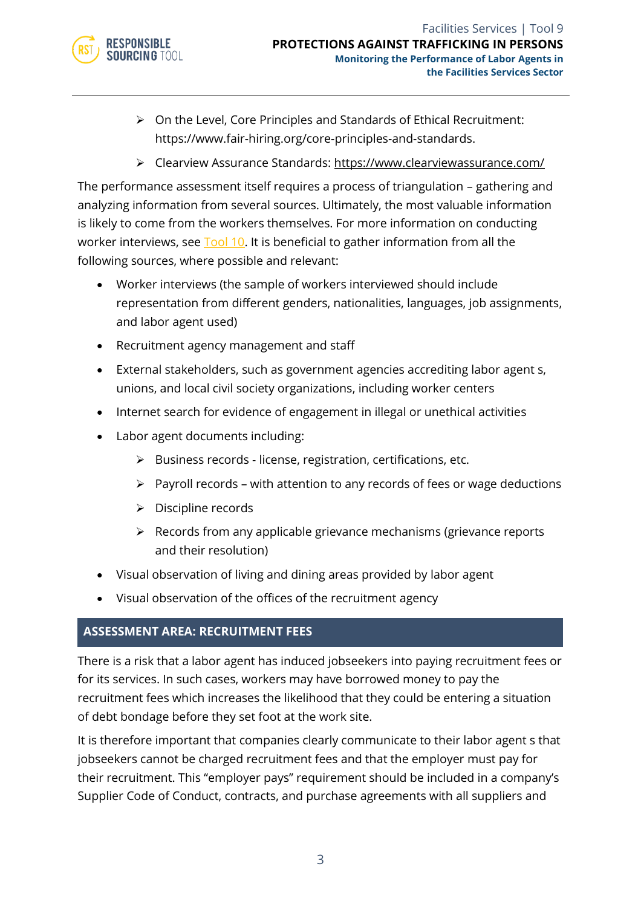

- ➢ On the Level, Core Principles and Standards of Ethical Recruitment: https://www.fair-hiring.org/core-principles-and-standards.
- ➢ Clearview Assurance Standards:<https://www.clearviewassurance.com/>

The performance assessment itself requires a process of triangulation – gathering and analyzing information from several sources. Ultimately, the most valuable information is likely to come from the workers themselves. For more information on conducting worker interviews, see [Tool 10.](https://www.responsiblesourcingtool.org/uploads/48/RST-Food-and-Bev-Tool-08-Worker-Empowerment.pdf) It is beneficial to gather information from all the following sources, where possible and relevant:

- Worker interviews (the sample of workers interviewed should include representation from different genders, nationalities, languages, job assignments, and labor agent used)
- Recruitment agency management and staff
- External stakeholders, such as government agencies accrediting labor agent s, unions, and local civil society organizations, including worker centers
- Internet search for evidence of engagement in illegal or unethical activities
- Labor agent documents including:
	- ➢ Business records license, registration, certifications, etc.
	- ➢ Payroll records with attention to any records of fees or wage deductions
	- ➢ Discipline records
	- ➢ Records from any applicable grievance mechanisms (grievance reports and their resolution)
- Visual observation of living and dining areas provided by labor agent
- Visual observation of the offices of the recruitment agency

#### **ASSESSMENT AREA: RECRUITMENT FEES**

There is a risk that a labor agent has induced jobseekers into paying recruitment fees or for its services. In such cases, workers may have borrowed money to pay the recruitment fees which increases the likelihood that they could be entering a situation of debt bondage before they set foot at the work site.

It is therefore important that companies clearly communicate to their labor agent s that jobseekers cannot be charged recruitment fees and that the employer must pay for their recruitment. This "employer pays" requirement should be included in a company's Supplier Code of Conduct, contracts, and purchase agreements with all suppliers and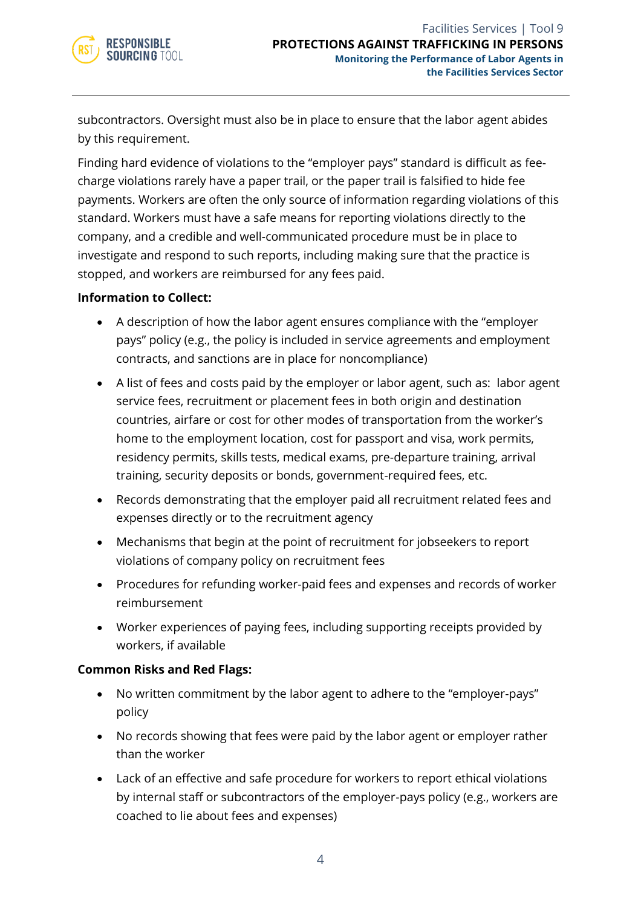subcontractors. Oversight must also be in place to ensure that the labor agent abides by this requirement.

Finding hard evidence of violations to the "employer pays" standard is difficult as feecharge violations rarely have a paper trail, or the paper trail is falsified to hide fee payments. Workers are often the only source of information regarding violations of this standard. Workers must have a safe means for reporting violations directly to the company, and a credible and well-communicated procedure must be in place to investigate and respond to such reports, including making sure that the practice is stopped, and workers are reimbursed for any fees paid.

#### **Information to Collect:**

- A description of how the labor agent ensures compliance with the "employer pays" policy (e.g., the policy is included in service agreements and employment contracts, and sanctions are in place for noncompliance)
- A list of fees and costs paid by the employer or labor agent, such as: labor agent service fees, recruitment or placement fees in both origin and destination countries, airfare or cost for other modes of transportation from the worker's home to the employment location, cost for passport and visa, work permits, residency permits, skills tests, medical exams, pre-departure training, arrival training, security deposits or bonds, government-required fees, etc.
- Records demonstrating that the employer paid all recruitment related fees and expenses directly or to the recruitment agency
- Mechanisms that begin at the point of recruitment for jobseekers to report violations of company policy on recruitment fees
- Procedures for refunding worker-paid fees and expenses and records of worker reimbursement
- Worker experiences of paying fees, including supporting receipts provided by workers, if available

#### **Common Risks and Red Flags:**

- No written commitment by the labor agent to adhere to the "employer-pays" policy
- No records showing that fees were paid by the labor agent or employer rather than the worker
- Lack of an effective and safe procedure for workers to report ethical violations by internal staff or subcontractors of the employer-pays policy (e.g., workers are coached to lie about fees and expenses)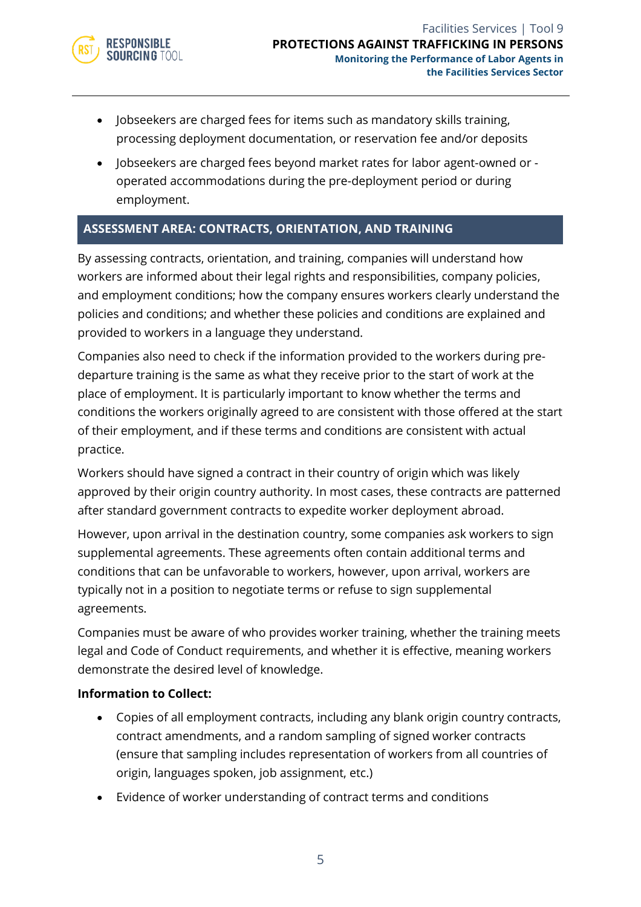

- Jobseekers are charged fees for items such as mandatory skills training, processing deployment documentation, or reservation fee and/or deposits
- Jobseekers are charged fees beyond market rates for labor agent-owned or operated accommodations during the pre-deployment period or during employment.

#### **ASSESSMENT AREA: CONTRACTS, ORIENTATION, AND TRAINING**

By assessing contracts, orientation, and training, companies will understand how workers are informed about their legal rights and responsibilities, company policies, and employment conditions; how the company ensures workers clearly understand the policies and conditions; and whether these policies and conditions are explained and provided to workers in a language they understand.

Companies also need to check if the information provided to the workers during predeparture training is the same as what they receive prior to the start of work at the place of employment. It is particularly important to know whether the terms and conditions the workers originally agreed to are consistent with those offered at the start of their employment, and if these terms and conditions are consistent with actual practice.

Workers should have signed a contract in their country of origin which was likely approved by their origin country authority. In most cases, these contracts are patterned after standard government contracts to expedite worker deployment abroad.

However, upon arrival in the destination country, some companies ask workers to sign supplemental agreements. These agreements often contain additional terms and conditions that can be unfavorable to workers, however, upon arrival, workers are typically not in a position to negotiate terms or refuse to sign supplemental agreements.

Companies must be aware of who provides worker training, whether the training meets legal and Code of Conduct requirements, and whether it is effective, meaning workers demonstrate the desired level of knowledge.

- Copies of all employment contracts, including any blank origin country contracts, contract amendments, and a random sampling of signed worker contracts (ensure that sampling includes representation of workers from all countries of origin, languages spoken, job assignment, etc.)
- Evidence of worker understanding of contract terms and conditions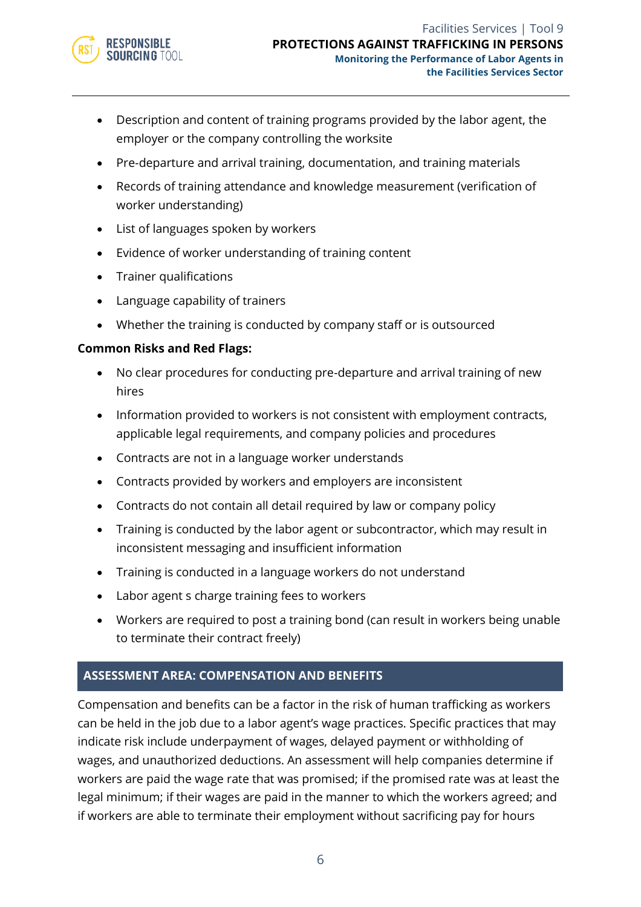

- Description and content of training programs provided by the labor agent, the employer or the company controlling the worksite
- Pre-departure and arrival training, documentation, and training materials
- Records of training attendance and knowledge measurement (verification of worker understanding)
- List of languages spoken by workers
- Evidence of worker understanding of training content
- Trainer qualifications
- Language capability of trainers
- Whether the training is conducted by company staff or is outsourced

- No clear procedures for conducting pre-departure and arrival training of new hires
- Information provided to workers is not consistent with employment contracts, applicable legal requirements, and company policies and procedures
- Contracts are not in a language worker understands
- Contracts provided by workers and employers are inconsistent
- Contracts do not contain all detail required by law or company policy
- Training is conducted by the labor agent or subcontractor, which may result in inconsistent messaging and insufficient information
- Training is conducted in a language workers do not understand
- Labor agent s charge training fees to workers
- Workers are required to post a training bond (can result in workers being unable to terminate their contract freely)

#### **ASSESSMENT AREA: COMPENSATION AND BENEFITS**

Compensation and benefits can be a factor in the risk of human trafficking as workers can be held in the job due to a labor agent's wage practices. Specific practices that may indicate risk include underpayment of wages, delayed payment or withholding of wages, and unauthorized deductions. An assessment will help companies determine if workers are paid the wage rate that was promised; if the promised rate was at least the legal minimum; if their wages are paid in the manner to which the workers agreed; and if workers are able to terminate their employment without sacrificing pay for hours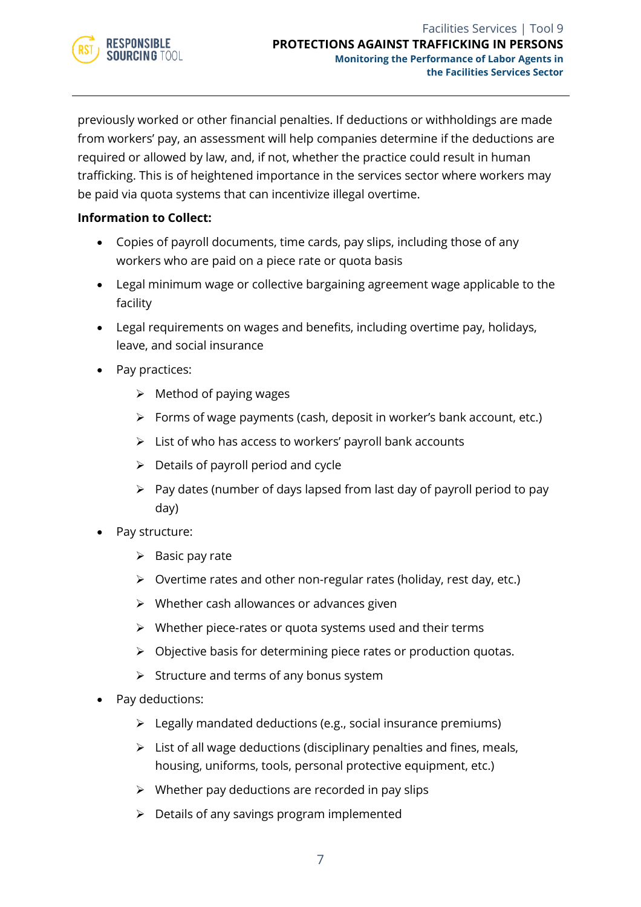

previously worked or other financial penalties. If deductions or withholdings are made from workers' pay, an assessment will help companies determine if the deductions are required or allowed by law, and, if not, whether the practice could result in human trafficking. This is of heightened importance in the services sector where workers may be paid via quota systems that can incentivize illegal overtime.

- Copies of payroll documents, time cards, pay slips, including those of any workers who are paid on a piece rate or quota basis
- Legal minimum wage or collective bargaining agreement wage applicable to the facility
- Legal requirements on wages and benefits, including overtime pay, holidays, leave, and social insurance
- Pay practices:
	- $\triangleright$  Method of paying wages
	- ➢ Forms of wage payments (cash, deposit in worker's bank account, etc.)
	- $\triangleright$  List of who has access to workers' payroll bank accounts
	- $\triangleright$  Details of payroll period and cycle
	- $\triangleright$  Pay dates (number of days lapsed from last day of payroll period to pay day)
- Pay structure:
	- $\triangleright$  Basic pay rate
	- ➢ Overtime rates and other non-regular rates (holiday, rest day, etc.)
	- ➢ Whether cash allowances or advances given
	- $\triangleright$  Whether piece-rates or quota systems used and their terms
	- ➢ Objective basis for determining piece rates or production quotas.
	- ➢ Structure and terms of any bonus system
- Pay deductions:
	- ➢ Legally mandated deductions (e.g., social insurance premiums)
	- ➢ List of all wage deductions (disciplinary penalties and fines, meals, housing, uniforms, tools, personal protective equipment, etc.)
	- $\triangleright$  Whether pay deductions are recorded in pay slips
	- $\triangleright$  Details of any savings program implemented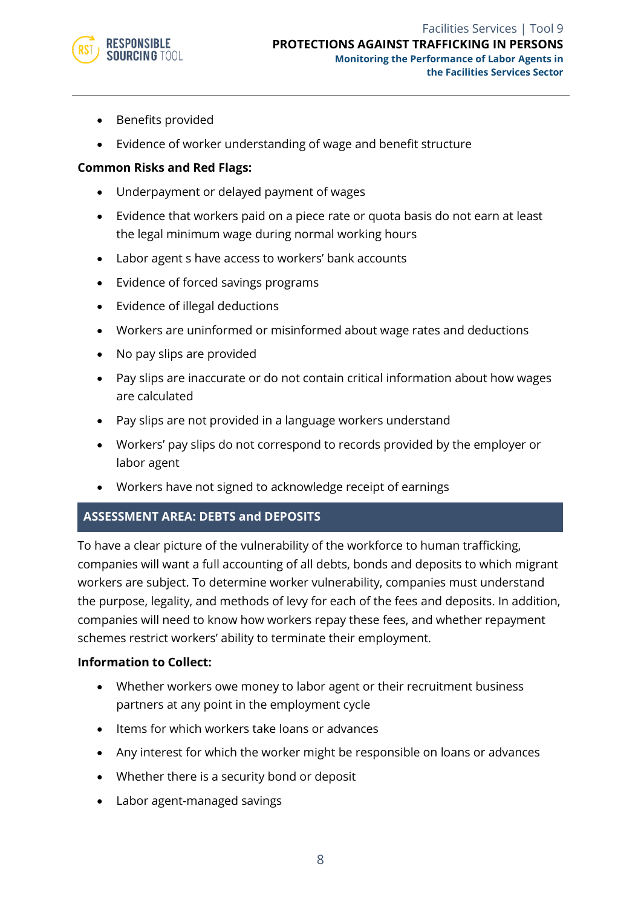

- Benefits provided
- Evidence of worker understanding of wage and benefit structure

- Underpayment or delayed payment of wages
- Evidence that workers paid on a piece rate or quota basis do not earn at least the legal minimum wage during normal working hours
- Labor agent s have access to workers' bank accounts
- Evidence of forced savings programs
- Evidence of illegal deductions
- Workers are uninformed or misinformed about wage rates and deductions
- No pay slips are provided
- Pay slips are inaccurate or do not contain critical information about how wages are calculated
- Pay slips are not provided in a language workers understand
- Workers' pay slips do not correspond to records provided by the employer or labor agent
- Workers have not signed to acknowledge receipt of earnings

#### **ASSESSMENT AREA: DEBTS and DEPOSITS**

To have a clear picture of the vulnerability of the workforce to human trafficking, companies will want a full accounting of all debts, bonds and deposits to which migrant workers are subject. To determine worker vulnerability, companies must understand the purpose, legality, and methods of levy for each of the fees and deposits. In addition, companies will need to know how workers repay these fees, and whether repayment schemes restrict workers' ability to terminate their employment.

- Whether workers owe money to labor agent or their recruitment business partners at any point in the employment cycle
- Items for which workers take loans or advances
- Any interest for which the worker might be responsible on loans or advances
- Whether there is a security bond or deposit
- Labor agent-managed savings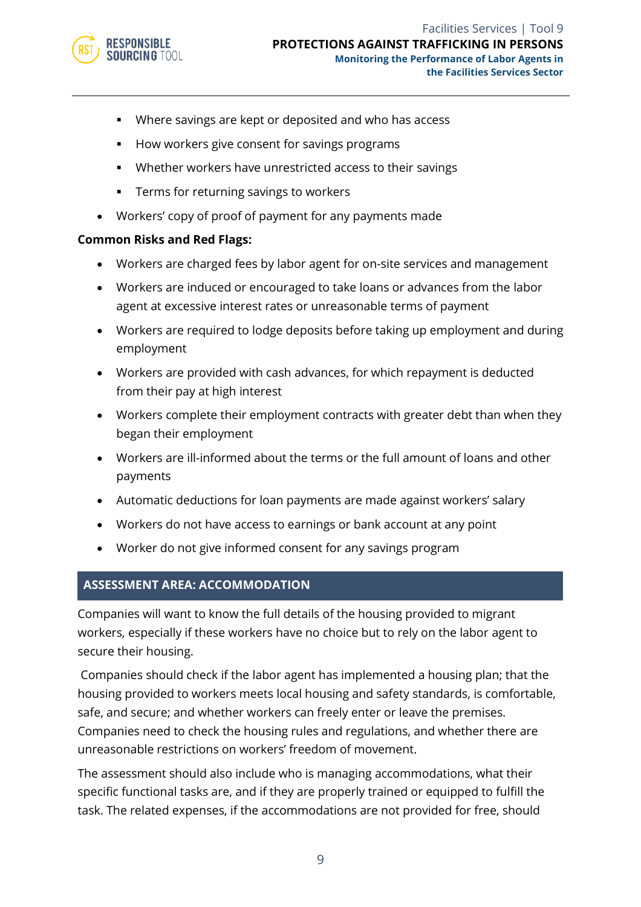

- Where savings are kept or deposited and who has access
- How workers give consent for savings programs
- Whether workers have unrestricted access to their savings
- Terms for returning savings to workers
- Workers' copy of proof of payment for any payments made

- Workers are charged fees by labor agent for on-site services and management
- Workers are induced or encouraged to take loans or advances from the labor agent at excessive interest rates or unreasonable terms of payment
- Workers are required to lodge deposits before taking up employment and during employment
- Workers are provided with cash advances, for which repayment is deducted from their pay at high interest
- Workers complete their employment contracts with greater debt than when they began their employment
- Workers are ill-informed about the terms or the full amount of loans and other payments
- Automatic deductions for loan payments are made against workers' salary
- Workers do not have access to earnings or bank account at any point
- Worker do not give informed consent for any savings program

#### **ASSESSMENT AREA: ACCOMMODATION**

Companies will want to know the full details of the housing provided to migrant workers, especially if these workers have no choice but to rely on the labor agent to secure their housing.

Companies should check if the labor agent has implemented a housing plan; that the housing provided to workers meets local housing and safety standards, is comfortable, safe, and secure; and whether workers can freely enter or leave the premises. Companies need to check the housing rules and regulations, and whether there are unreasonable restrictions on workers' freedom of movement.

The assessment should also include who is managing accommodations, what their specific functional tasks are, and if they are properly trained or equipped to fulfill the task. The related expenses, if the accommodations are not provided for free, should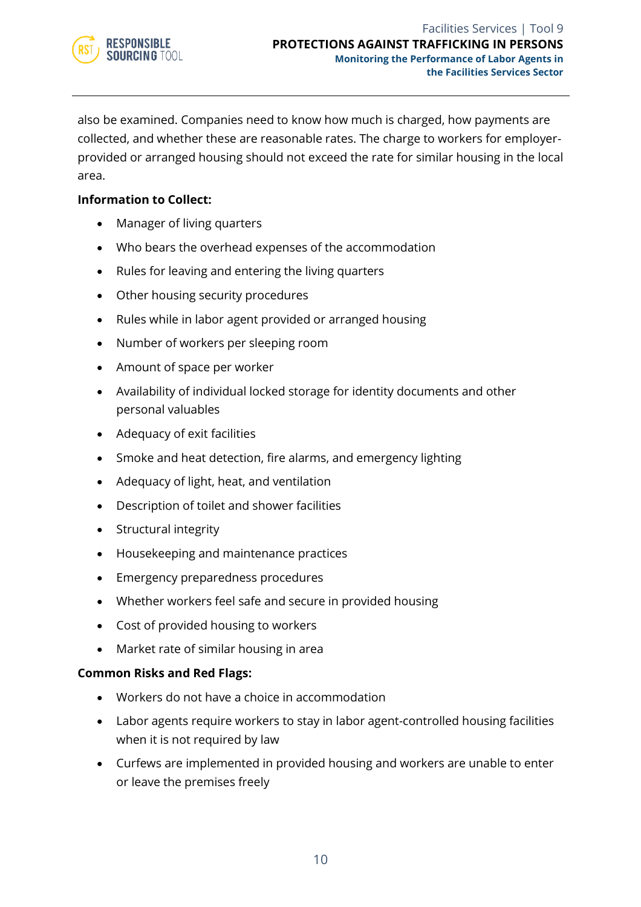

also be examined. Companies need to know how much is charged, how payments are collected, and whether these are reasonable rates. The charge to workers for employerprovided or arranged housing should not exceed the rate for similar housing in the local area.

#### **Information to Collect:**

- Manager of living quarters
- Who bears the overhead expenses of the accommodation
- Rules for leaving and entering the living quarters
- Other housing security procedures
- Rules while in labor agent provided or arranged housing
- Number of workers per sleeping room
- Amount of space per worker
- Availability of individual locked storage for identity documents and other personal valuables
- Adequacy of exit facilities
- Smoke and heat detection, fire alarms, and emergency lighting
- Adequacy of light, heat, and ventilation
- Description of toilet and shower facilities
- Structural integrity
- Housekeeping and maintenance practices
- Emergency preparedness procedures
- Whether workers feel safe and secure in provided housing
- Cost of provided housing to workers
- Market rate of similar housing in area

#### **Common Risks and Red Flags:**

- Workers do not have a choice in accommodation
- Labor agents require workers to stay in labor agent-controlled housing facilities when it is not required by law
- Curfews are implemented in provided housing and workers are unable to enter or leave the premises freely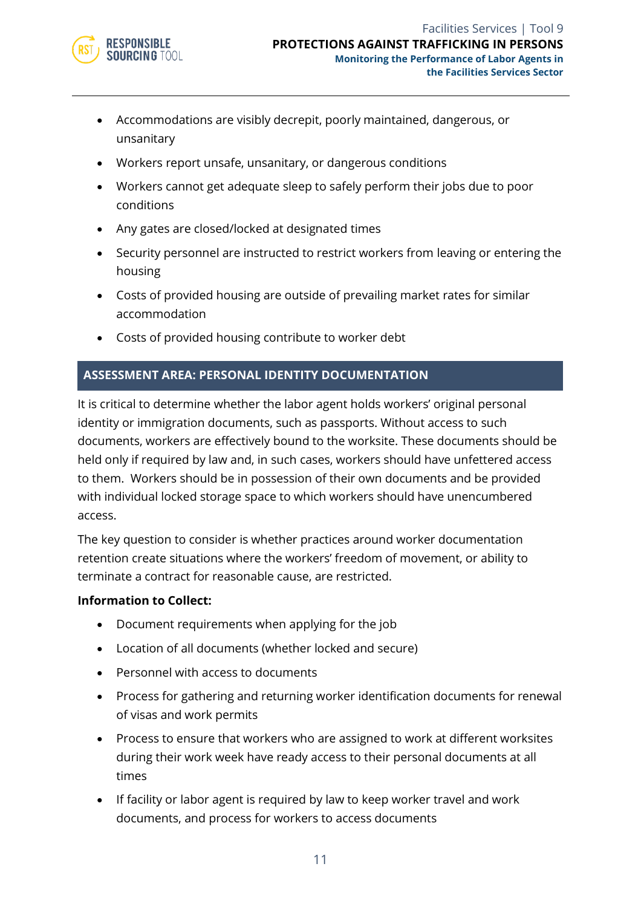

- Accommodations are visibly decrepit, poorly maintained, dangerous, or unsanitary
- Workers report unsafe, unsanitary, or dangerous conditions
- Workers cannot get adequate sleep to safely perform their jobs due to poor conditions
- Any gates are closed/locked at designated times
- Security personnel are instructed to restrict workers from leaving or entering the housing
- Costs of provided housing are outside of prevailing market rates for similar accommodation
- Costs of provided housing contribute to worker debt

#### **ASSESSMENT AREA: PERSONAL IDENTITY DOCUMENTATION**

It is critical to determine whether the labor agent holds workers' original personal identity or immigration documents, such as passports. Without access to such documents, workers are effectively bound to the worksite. These documents should be held only if required by law and, in such cases, workers should have unfettered access to them. Workers should be in possession of their own documents and be provided with individual locked storage space to which workers should have unencumbered access.

The key question to consider is whether practices around worker documentation retention create situations where the workers' freedom of movement, or ability to terminate a contract for reasonable cause, are restricted.

- Document requirements when applying for the job
- Location of all documents (whether locked and secure)
- Personnel with access to documents
- Process for gathering and returning worker identification documents for renewal of visas and work permits
- Process to ensure that workers who are assigned to work at different worksites during their work week have ready access to their personal documents at all times
- If facility or labor agent is required by law to keep worker travel and work documents, and process for workers to access documents